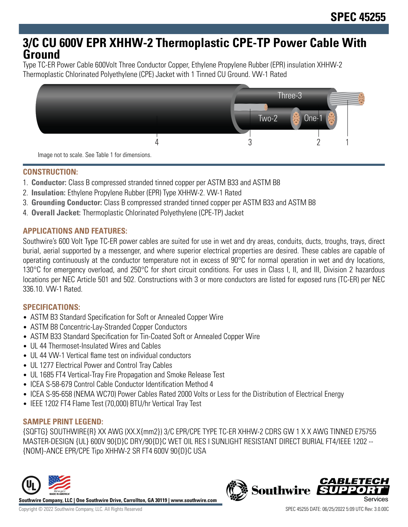# **3/C CU 600V EPR XHHW-2 Thermoplastic CPE-TP Power Cable With Ground**

Type TC-ER Power Cable 600Volt Three Conductor Copper, Ethylene Propylene Rubber (EPR) insulation XHHW-2 Thermoplastic Chlorinated Polyethylene (CPE) Jacket with 1 Tinned CU Ground. VW-1 Rated



**CONSTRUCTION:**

- 1. **Conductor:** Class B compressed stranded tinned copper per ASTM B33 and ASTM B8
- 2. **Insulation:** Ethylene Propylene Rubber (EPR) Type XHHW-2. VW-1 Rated
- 3. **Grounding Conductor:** Class B compressed stranded tinned copper per ASTM B33 and ASTM B8
- 4. **Overall Jacket:** Thermoplastic Chlorinated Polyethylene (CPE-TP) Jacket

## **APPLICATIONS AND FEATURES:**

Southwire's 600 Volt Type TC-ER power cables are suited for use in wet and dry areas, conduits, ducts, troughs, trays, direct burial, aerial supported by a messenger, and where superior electrical properties are desired. These cables are capable of operating continuously at the conductor temperature not in excess of 90°C for normal operation in wet and dry locations, 130°C for emergency overload, and 250°C for short circuit conditions. For uses in Class I, II, and III, Division 2 hazardous locations per NEC Article 501 and 502. Constructions with 3 or more conductors are listed for exposed runs (TC-ER) per NEC 336.10. VW-1 Rated.

## **SPECIFICATIONS:**

- ASTM B3 Standard Specification for Soft or Annealed Copper Wire
- ASTM B8 Concentric-Lay-Stranded Copper Conductors
- ASTM B33 Standard Specification for Tin-Coated Soft or Annealed Copper Wire
- UL 44 Thermoset-Insulated Wires and Cables
- UL 44 VW-1 Vertical flame test on individual conductors
- UL 1277 Electrical Power and Control Tray Cables
- UL 1685 FT4 Vertical-Tray Fire Propagation and Smoke Release Test
- ICEA S-58-679 Control Cable Conductor Identification Method 4
- ICEA S-95-658 (NEMA WC70) Power Cables Rated 2000 Volts or Less for the Distribution of Electrical Energy
- IEEE 1202 FT4 Flame Test (70,000) BTU/hr Vertical Tray Test

## **SAMPLE PRINT LEGEND:**

{SQFTG} SOUTHWIRE{R} XX AWG (XX.X{mm2}) 3/C EPR/CPE TYPE TC-ER XHHW-2 CDRS GW 1 X X AWG TINNED E75755 MASTER-DESIGN {UL} 600V 90{D}C DRY/90{D}C WET OIL RES I SUNLIGHT RESISTANT DIRECT BURIAL FT4/IEEE 1202 -- {NOM}-ANCE EPR/CPE Tipo XHHW-2 SR FT4 600V 90{D}C USA



**Southwire Company, LLC | One Southwire Drive, Carrollton, GA 30119 | www.southwire.com**